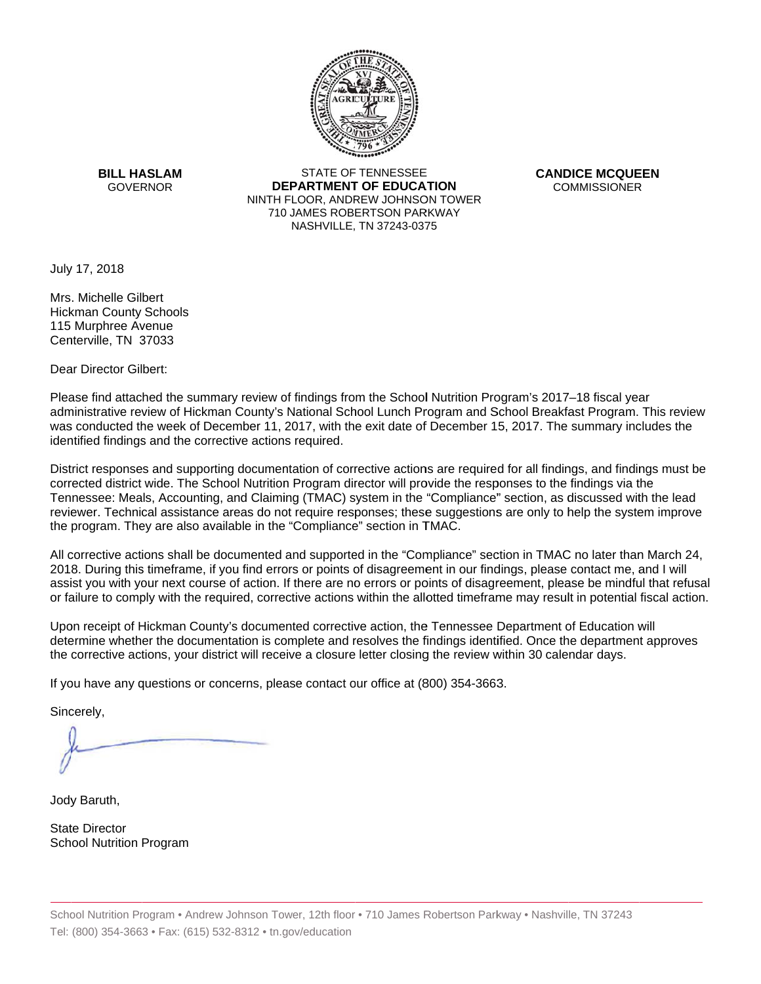

**BILL HASLAM** GOVERNOR **DEI** 

STATE OF TENNESSEE **EPARTMENT OF EDUCATION** NINTH FLOOR, ANDREW JOHNSON TOWER 710 JAMES ROBERTSON PARKWAY NASHVILLE,TN 37243-0375

**CANDICE MCQUEEN** CO OMMISSIONER

July 17, 2018

Mrs. Michelle Gilbert Hickman County Schools 115Murphree Avenue Centerville, TN 37033

Dear Director Gilbert:

Please find attached the summary review of findings from the School Nutrition Program's 2017–18 fiscal year administrative review of Hickman County's National School Lunch Program and School Breakfast Program. This review was conducted the week of December 11, 2017, with the exit date of December 15, 2017. The summary includes the identified findings and the corrective actions required.

Tennessee: Meals, Accounting, and Claiming (TMAC) system in the "Compliance" section, as discussed with the lead District responses and supporting documentation of corrective actions are required for all findings, and findings must be corrected district wide. The School Nutrition Program director will provide the responses to the findings via the reviewer. Technical assistance areas do not require responses; these suggestions are only to help the system improve the program. They are also available in the "Compliance" section in TMAC.

All corrective actions shall be documented and supported in the "Compliance" section in TMAC no later than March 24, 2018. During this timeframe, if you find errors or points of disagreement in our findings, please contact me, and I will assist you with your next course of action. If there are no errors or points of disagreement, please be mindful that refusal or failure to comply with the required, corrective actions within the allotted timeframe may result in potential fiscal action.

Upon receipt of Hickman County's documented corrective action, the Tennessee Department of Education will determine whether the documentation is complete and resolves the findings identified. Once the department approves the corrective actions, your district will receive a closure letter closing the review within 30 calendar days.

If you have any questions or concerns, please contact our office at (800) 354-3663.

Sincerely,

Jody Baruth,

State Director School Nutrition Program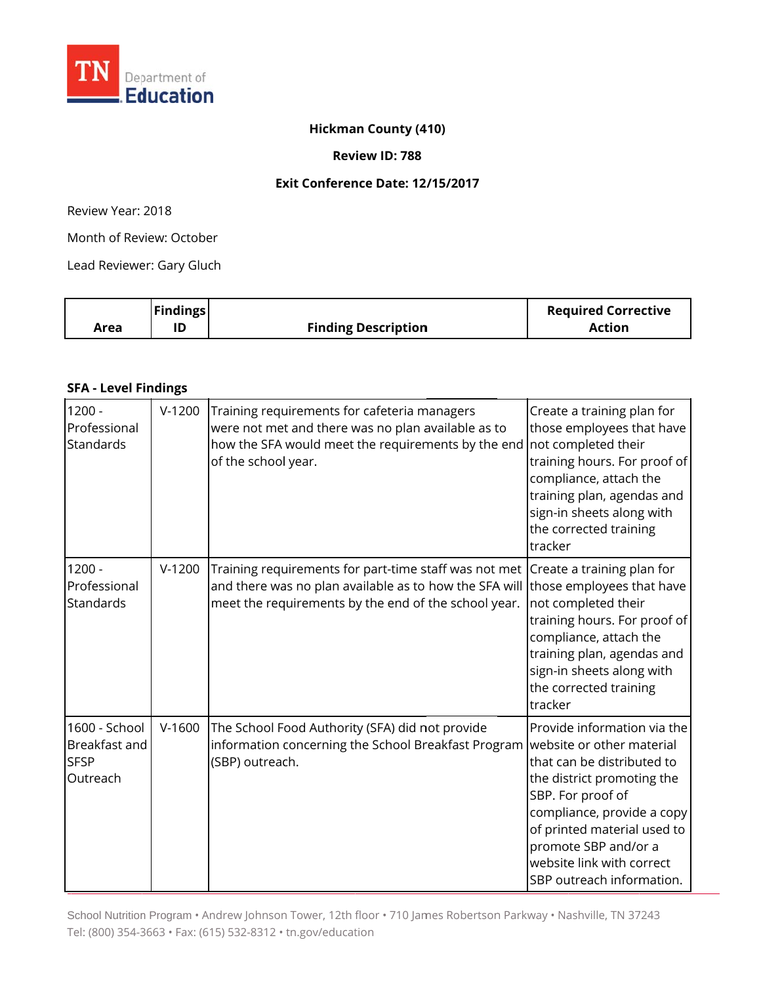

### **Hickma an County (4 410)**

### **Rev view ID: 788**

#### **Ex xit Conferen nce Date: 12 /15/2017**

R Review Year: 2018

Month of Review: October

Lead Reviewer: Gary Gluch

|      | <b>Findings</b> |                            | <b>Required Corrective</b> |
|------|-----------------|----------------------------|----------------------------|
| Area |                 | <b>Finding Description</b> | Action                     |

#### **S SFA - Level F indings**

| $1200 -$<br>Professional<br>Standards                     | $V-1200$ | Training requirements for cafeteria managers<br>were not met and there was no plan available as to<br>how the SFA would meet the requirements by the end not completed their<br>of the school year.                          | Create a training plan for<br>those employees that have<br>training hours. For proof of<br>compliance, attach the<br>training plan, agendas and<br>sign-in sheets along with<br>the corrected training<br>tracker                                           |
|-----------------------------------------------------------|----------|------------------------------------------------------------------------------------------------------------------------------------------------------------------------------------------------------------------------------|-------------------------------------------------------------------------------------------------------------------------------------------------------------------------------------------------------------------------------------------------------------|
| $1200 -$<br>Professional<br>Standards                     | $V-1200$ | Training requirements for part-time staff was not met Create a training plan for<br>and there was no plan available as to how the SFA will those employees that have<br>meet the requirements by the end of the school year. | not completed their<br>training hours. For proof of<br>compliance, attach the<br>training plan, agendas and<br>sign-in sheets along with<br>the corrected training<br>tracker                                                                               |
| 1600 - School<br>Breakfast and<br><b>SFSP</b><br>Outreach | $V-1600$ | The School Food Authority (SFA) did not provide<br>information concerning the School Breakfast Program website or other material<br>(SBP) outreach.                                                                          | Provide information via the<br>that can be distributed to<br>the district promoting the<br>SBP. For proof of<br>compliance, provide a copy<br>of printed material used to<br>promote SBP and/or a<br>website link with correct<br>SBP outreach information. |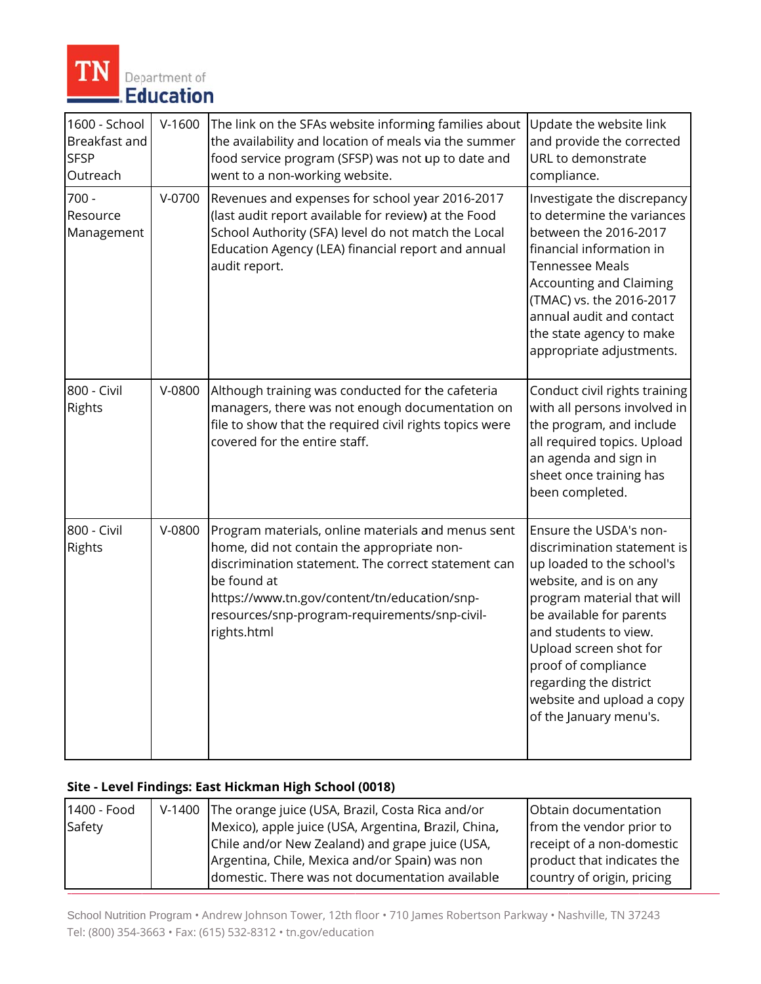

| 1600 - School<br>Breakfast and<br><b>SFSP</b><br>Outreach | $V-1600$ | The link on the SFAs website informing families about<br>the availability and location of meals via the summer<br>food service program (SFSP) was not up to date and<br>went to a non-working website.                                                                                 | Update the website link<br>and provide the corrected<br>URL to demonstrate<br>compliance.                                                                                                                                                                                                                                         |
|-----------------------------------------------------------|----------|----------------------------------------------------------------------------------------------------------------------------------------------------------------------------------------------------------------------------------------------------------------------------------------|-----------------------------------------------------------------------------------------------------------------------------------------------------------------------------------------------------------------------------------------------------------------------------------------------------------------------------------|
| $700 -$<br>Resource<br>Management                         | $V-0700$ | Revenues and expenses for school year 2016-2017<br>(last audit report available for review) at the Food<br>School Authority (SFA) level do not match the Local<br>Education Agency (LEA) financial report and annual<br>audit report.                                                  | Investigate the discrepancy<br>to determine the variances<br>between the 2016-2017<br>financial information in<br><b>Tennessee Meals</b><br><b>Accounting and Claiming</b><br>(TMAC) vs. the 2016-2017<br>annual audit and contact<br>the state agency to make<br>appropriate adjustments.                                        |
| 800 - Civil<br>Rights                                     | V-0800   | Although training was conducted for the cafeteria<br>managers, there was not enough documentation on<br>file to show that the required civil rights topics were<br>covered for the entire staff.                                                                                       | Conduct civil rights training<br>with all persons involved in<br>the program, and include<br>all required topics. Upload<br>an agenda and sign in<br>sheet once training has<br>been completed.                                                                                                                                   |
| 800 - Civil<br>Rights                                     | V-0800   | Program materials, online materials and menus sent<br>home, did not contain the appropriate non-<br>discrimination statement. The correct statement can<br>be found at<br>https://www.tn.gov/content/tn/education/snp-<br>resources/snp-program-requirements/snp-civil-<br>rights.html | Ensure the USDA's non-<br>discrimination statement is<br>up loaded to the school's<br>website, and is on any<br>program material that will<br>be available for parents<br>and students to view.<br>Upload screen shot for<br>proof of compliance<br>regarding the district<br>website and upload a copy<br>of the January menu's. |

## Site - Level Findings: East Hickman High School (0018)

| 1400 - Food | V-1400 The orange juice (USA, Brazil, Costa Rica and/or | Obtain documentation       |
|-------------|---------------------------------------------------------|----------------------------|
| Safety      | Mexico), apple juice (USA, Argentina, Brazil, China,    | from the vendor prior to   |
|             | Chile and/or New Zealand) and grape juice (USA,         | receipt of a non-domestic  |
|             | Argentina, Chile, Mexica and/or Spain) was non          | product that indicates the |
|             | domestic. There was not documentation available         | country of origin, pricing |